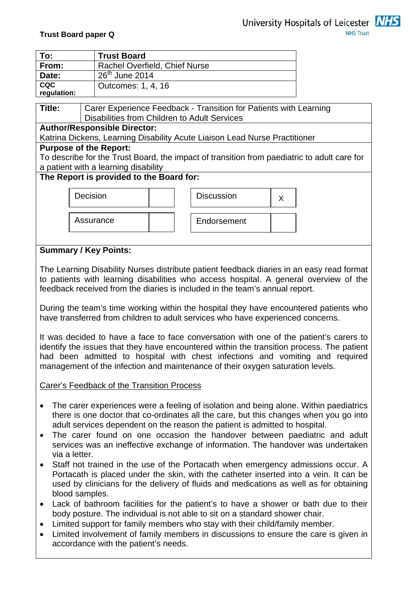

| To:                       | <b>Trust Board</b>            |
|---------------------------|-------------------------------|
| From:                     | Rachel Overfield, Chief Nurse |
| Date:                     | $26th$ June 2014              |
| <b>CQC</b><br>regulation: | Outcomes: 1, 4, 16            |

**Title:** | Carer Experience Feedback - Transition for Patients with Learning Disabilities from Children to Adult Services

## **Author/Responsible Director:**

Katrina Dickens, Learning Disability Acute Liaison Lead Nurse Practitioner

## **Purpose of the Report:**

To describe for the Trust Board, the impact of transition from paediatric to adult care for a patient with a learning disability

## **The Report is provided to the Board for:**



# **Summary / Key Points:**

The Learning Disability Nurses distribute patient feedback diaries in an easy read format to patients with learning disabilities who access hospital. A general overview of the feedback received from the diaries is included in the team's annual report.

During the team's time working within the hospital they have encountered patients who have transferred from children to adult services who have experienced concerns.

It was decided to have a face to face conversation with one of the patient's carers to identify the issues that they have encountered within the transition process. The patient had been admitted to hospital with chest infections and vomiting and required management of the infection and maintenance of their oxygen saturation levels.

Carer's Feedback of the Transition Process

- The carer experiences were a feeling of isolation and being alone. Within paediatrics there is one doctor that co-ordinates all the care, but this changes when you go into adult services dependent on the reason the patient is admitted to hospital.
- The carer found on one occasion the handover between paediatric and adult services was an ineffective exchange of information. The handover was undertaken via a letter.
- Staff not trained in the use of the Portacath when emergency admissions occur. A Portacath is placed under the skin, with the catheter inserted into a vein. It can be used by clinicians for the delivery of fluids and medications as well as for obtaining blood samples.
- Lack of bathroom facilities for the patient's to have a shower or bath due to their body posture. The individual is not able to sit on a standard shower chair.
- Limited support for family members who stay with their child/family member.
- Limited involvement of family members in discussions to ensure the care is given in accordance with the patient's needs.